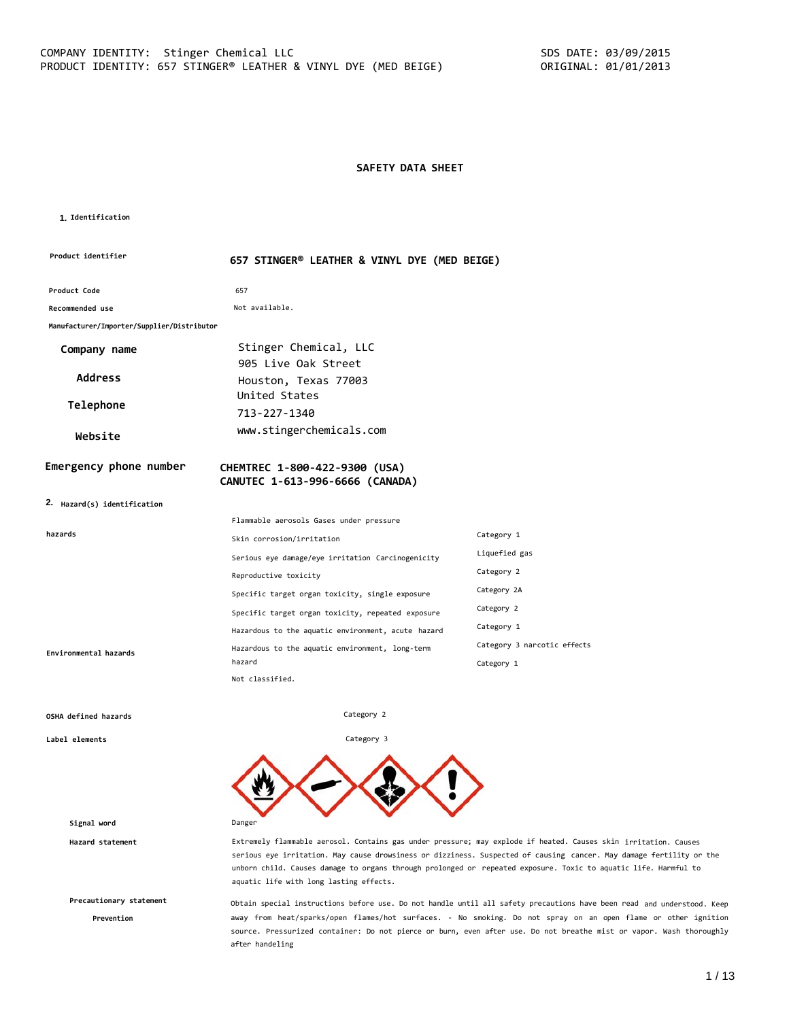# **SAFETY DATA SHEET**

#### **1. Identification**

| Product identifier                         | 657 STINGER® LEATHER & VINYL DYE (MED BEIGE)                     |                             |
|--------------------------------------------|------------------------------------------------------------------|-----------------------------|
| Product Code                               | 657                                                              |                             |
| Recommended use                            | Not available.                                                   |                             |
| Manufacturer/Importer/Supplier/Distributor |                                                                  |                             |
| Company name                               | Stinger Chemical, LLC<br>905 Live Oak Street                     |                             |
| <b>Address</b>                             | Houston, Texas 77003                                             |                             |
|                                            | United States                                                    |                             |
| Telephone                                  | 713-227-1340                                                     |                             |
| Website                                    | www.stingerchemicals.com                                         |                             |
| Emergency phone number                     | CHEMTREC 1-800-422-9300 (USA)<br>CANUTEC 1-613-996-6666 (CANADA) |                             |
| 2. Hazard(s) identification                |                                                                  |                             |
|                                            | Flammable aerosols Gases under pressure                          |                             |
| hazards                                    | Skin corrosion/irritation                                        | Category 1                  |
|                                            | Serious eye damage/eye irritation Carcinogenicity                | Liquefied gas               |
|                                            | Reproductive toxicity                                            | Category 2                  |
|                                            | Specific target organ toxicity, single exposure                  | Category 2A                 |
|                                            | Specific target organ toxicity, repeated exposure                | Category 2                  |
|                                            | Hazardous to the aquatic environment, acute hazard               | Category 1                  |
| Environmental hazards                      | Hazardous to the aquatic environment, long-term                  | Category 3 narcotic effects |
|                                            | hazard                                                           | Category 1                  |
|                                            | Not classified.                                                  |                             |

Category 2

Category 3

#### **OSHA defined hazards**

**Label elements**

**Signal word** Danger

**Precautionary statement**

**Prevention**

**Hazard statement** Extremely flammable aerosol. Contains gas under pressure; may explode if heated. Causes skin irritation. Causes serious eye irritation. May cause drowsiness or dizziness. Suspected of causing cancer. May damage fertility or the unborn child. Causes damage to organs through prolonged or repeated exposure. Toxic to aquatic life. Harmful to aquatic life with long lasting effects.

> Obtain special instructions before use. Do not handle until all safety precautions have been read and understood. Keep away from heat/sparks/open flames/hot surfaces. - No smoking. Do not spray on an open flame or other ignition source. Pressurized container: Do not pierce or burn, even after use. Do not breathe mist or vapor. Wash thoroughly after handeling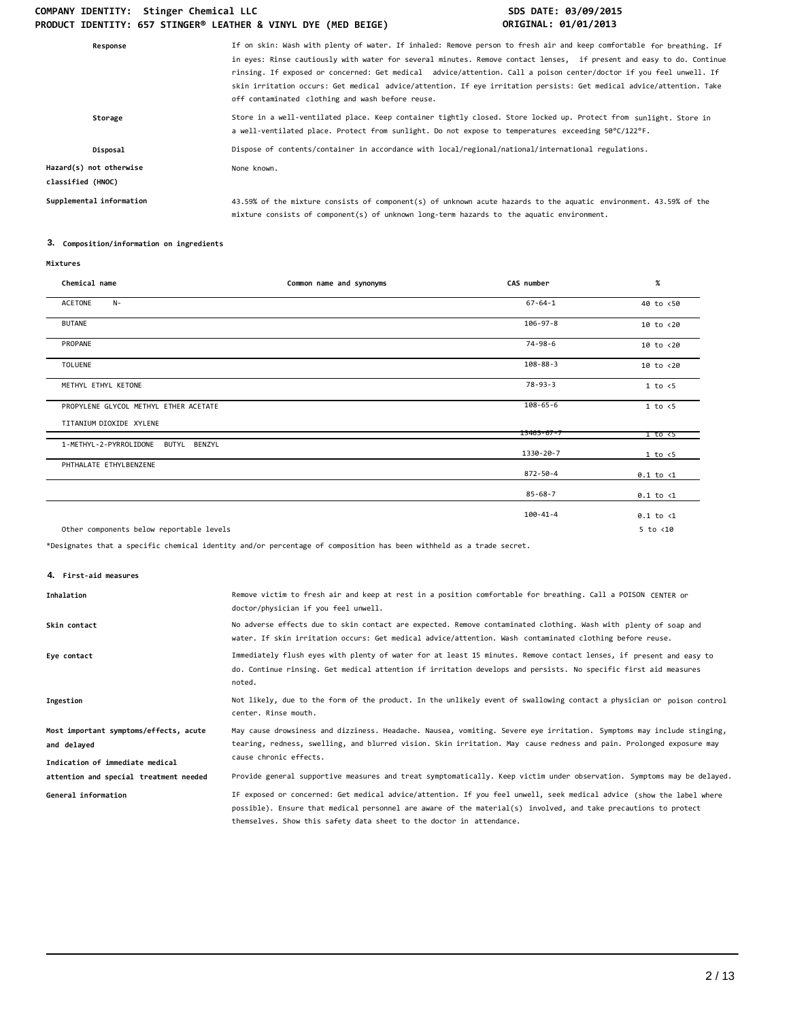| If on skin: Wash with plenty of water. If inhaled: Remove person to fresh air and keep comfortable for breathing. If<br>in eyes: Rinse cautiously with water for several minutes. Remove contact lenses, if present and easy to do. Continue<br>rinsing. If exposed or concerned: Get medical advice/attention. Call a poison center/doctor if you feel unwell. If<br>skin irritation occurs: Get medical advice/attention. If eye irritation persists: Get medical advice/attention. Take<br>off contaminated clothing and wash before reuse. |
|------------------------------------------------------------------------------------------------------------------------------------------------------------------------------------------------------------------------------------------------------------------------------------------------------------------------------------------------------------------------------------------------------------------------------------------------------------------------------------------------------------------------------------------------|
| Store in a well-ventilated place. Keep container tightly closed. Store locked up. Protect from sunlight. Store in<br>a well-ventilated place. Protect from sunlight. Do not expose to temperatures exceeding 50°C/122°F.                                                                                                                                                                                                                                                                                                                       |
| Dispose of contents/container in accordance with local/regional/national/international regulations.                                                                                                                                                                                                                                                                                                                                                                                                                                            |
| None known.                                                                                                                                                                                                                                                                                                                                                                                                                                                                                                                                    |
| 43.59% of the mixture consists of component(s) of unknown acute hazards to the aquatic environment. 43.59% of the<br>mixture consists of component(s) of unknown long-term hazards to the aquatic environment.                                                                                                                                                                                                                                                                                                                                 |
|                                                                                                                                                                                                                                                                                                                                                                                                                                                                                                                                                |

# **3. Composition/information on ingredients**

| Chemical name                            | Common name and synonyms | CAS number       | $\%$                  |
|------------------------------------------|--------------------------|------------------|-----------------------|
| ACETONE<br>$N-$                          |                          | $67 - 64 - 1$    | 40 to <50             |
| <b>BUTANE</b>                            |                          | $106 - 97 - 8$   | 10 to <20             |
| PROPANE                                  |                          | $74 - 98 - 6$    | 10 to <20             |
| <b>TOLUENE</b>                           |                          | $108 - 88 - 3$   | 10 to <20             |
| METHYL ETHYL KETONE                      |                          | $78 - 93 - 3$    | 1 to < 5              |
| PROPYLENE GLYCOL METHYL ETHER ACETATE    |                          | $108 - 65 - 6$   | 1 to < 5              |
| TITANIUM DIOXIDE XYLENE                  |                          | $13463 - 67 - 7$ | $1$ to $\overline{c}$ |
| 1-METHYL-2-PYRROLIDONE<br>BUTYL BENZYL   |                          | 1330-20-7        | 1 to < 5              |
| PHTHALATE ETHYLBENZENE                   |                          | 872-50-4         | $0.1$ to $\langle 1$  |
|                                          |                          | $85 - 68 - 7$    | $0.1$ to $\langle 1$  |
|                                          |                          | $100 - 41 - 4$   | $0.1$ to $\langle 1$  |
| Other components below reportable levels |                          |                  | $5$ to $<$ 10         |

\*Designates that a specific chemical identity and/or percentage of composition has been withheld as a trade secret.

**4. First-aid measures**

| Inhalation                                                                               | Remove victim to fresh air and keep at rest in a position comfortable for breathing. Call a POISON CENTER or<br>doctor/physician if you feel unwell.                                                                                                                                                            |
|------------------------------------------------------------------------------------------|-----------------------------------------------------------------------------------------------------------------------------------------------------------------------------------------------------------------------------------------------------------------------------------------------------------------|
| Skin contact                                                                             | No adverse effects due to skin contact are expected. Remove contaminated clothing. Wash with plenty of soap and<br>water. If skin irritation occurs: Get medical advice/attention. Wash contaminated clothing before reuse.                                                                                     |
| Eye contact                                                                              | Immediately flush eyes with plenty of water for at least 15 minutes. Remove contact lenses, if present and easy to<br>do. Continue rinsing. Get medical attention if irritation develops and persists. No specific first aid measures<br>noted.                                                                 |
| Ingestion                                                                                | Not likely, due to the form of the product. In the unlikely event of swallowing contact a physician or poison control<br>center. Rinse mouth.                                                                                                                                                                   |
| Most important symptoms/effects, acute<br>and delayed<br>Indication of immediate medical | May cause drowsiness and dizziness. Headache. Nausea, vomiting. Severe eye irritation. Symptoms may include stinging,<br>tearing, redness, swelling, and blurred vision. Skin irritation. May cause redness and pain. Prolonged exposure may<br>cause chronic effects.                                          |
| attention and special treatment needed                                                   | Provide general supportive measures and treat symptomatically. Keep victim under observation. Symptoms may be delayed.                                                                                                                                                                                          |
| General information                                                                      | IF exposed or concerned: Get medical advice/attention. If you feel unwell, seek medical advice (show the label where<br>possible). Ensure that medical personnel are aware of the material(s) involved, and take precautions to protect<br>themselves. Show this safety data sheet to the doctor in attendance. |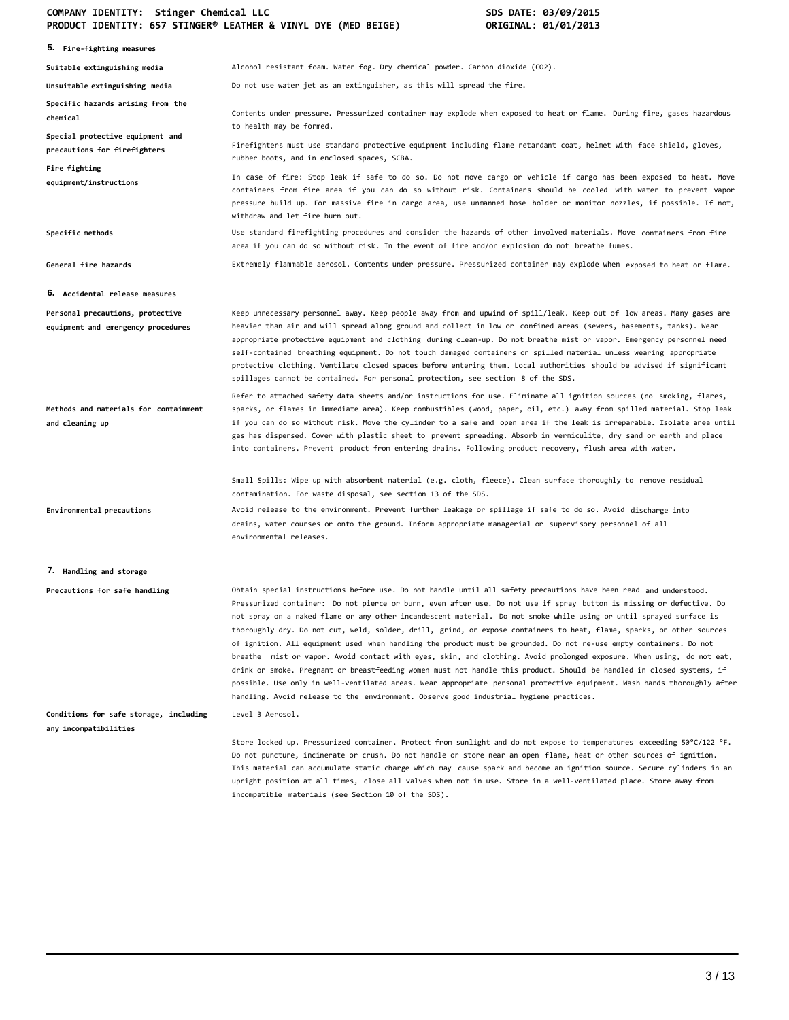| 5. Fire-fighting measures                                              |                                                                                                                                                                                                                                                                                                                                                                                                                                                                                                                                                                                                                                                                                                                                                                                                                                                                                                                                                                                                                                                                                         |
|------------------------------------------------------------------------|-----------------------------------------------------------------------------------------------------------------------------------------------------------------------------------------------------------------------------------------------------------------------------------------------------------------------------------------------------------------------------------------------------------------------------------------------------------------------------------------------------------------------------------------------------------------------------------------------------------------------------------------------------------------------------------------------------------------------------------------------------------------------------------------------------------------------------------------------------------------------------------------------------------------------------------------------------------------------------------------------------------------------------------------------------------------------------------------|
| Suitable extinguishing media                                           | Alcohol resistant foam. Water fog. Dry chemical powder. Carbon dioxide (CO2).                                                                                                                                                                                                                                                                                                                                                                                                                                                                                                                                                                                                                                                                                                                                                                                                                                                                                                                                                                                                           |
| Unsuitable extinguishing media                                         | Do not use water jet as an extinguisher, as this will spread the fire.                                                                                                                                                                                                                                                                                                                                                                                                                                                                                                                                                                                                                                                                                                                                                                                                                                                                                                                                                                                                                  |
| Specific hazards arising from the<br>chemical                          | Contents under pressure. Pressurized container may explode when exposed to heat or flame. During fire, gases hazardous<br>to health may be formed.                                                                                                                                                                                                                                                                                                                                                                                                                                                                                                                                                                                                                                                                                                                                                                                                                                                                                                                                      |
| Special protective equipment and<br>precautions for firefighters       | Firefighters must use standard protective equipment including flame retardant coat, helmet with face shield, gloves,<br>rubber boots, and in enclosed spaces, SCBA.                                                                                                                                                                                                                                                                                                                                                                                                                                                                                                                                                                                                                                                                                                                                                                                                                                                                                                                     |
| Fire fighting<br>equipment/instructions                                | In case of fire: Stop leak if safe to do so. Do not move cargo or vehicle if cargo has been exposed to heat. Move<br>containers from fire area if you can do so without risk. Containers should be cooled with water to prevent vapor<br>pressure build up. For massive fire in cargo area, use unmanned hose holder or monitor nozzles, if possible. If not,<br>withdraw and let fire burn out.                                                                                                                                                                                                                                                                                                                                                                                                                                                                                                                                                                                                                                                                                        |
| Specific methods                                                       | Use standard firefighting procedures and consider the hazards of other involved materials. Move containers from fire<br>area if you can do so without risk. In the event of fire and/or explosion do not breathe fumes.                                                                                                                                                                                                                                                                                                                                                                                                                                                                                                                                                                                                                                                                                                                                                                                                                                                                 |
| General fire hazards                                                   | Extremely flammable aerosol. Contents under pressure. Pressurized container may explode when exposed to heat or flame.                                                                                                                                                                                                                                                                                                                                                                                                                                                                                                                                                                                                                                                                                                                                                                                                                                                                                                                                                                  |
| 6. Accidental release measures                                         |                                                                                                                                                                                                                                                                                                                                                                                                                                                                                                                                                                                                                                                                                                                                                                                                                                                                                                                                                                                                                                                                                         |
| Personal precautions, protective<br>equipment and emergency procedures | Keep unnecessary personnel away. Keep people away from and upwind of spill/leak. Keep out of low areas. Many gases are<br>heavier than air and will spread along ground and collect in low or confined areas (sewers, basements, tanks). Wear<br>appropriate protective equipment and clothing during clean-up. Do not breathe mist or vapor. Emergency personnel need<br>self-contained breathing equipment. Do not touch damaged containers or spilled material unless wearing appropriate<br>protective clothing. Ventilate closed spaces before entering them. Local authorities should be advised if significant<br>spillages cannot be contained. For personal protection, see section 8 of the SDS.                                                                                                                                                                                                                                                                                                                                                                              |
| Methods and materials for containment<br>and cleaning up               | Refer to attached safety data sheets and/or instructions for use. Eliminate all ignition sources (no smoking, flares,<br>sparks, or flames in immediate area). Keep combustibles (wood, paper, oil, etc.) away from spilled material. Stop leak<br>if you can do so without risk. Move the cylinder to a safe and open area if the leak is irreparable. Isolate area until<br>gas has dispersed. Cover with plastic sheet to prevent spreading. Absorb in vermiculite, dry sand or earth and place<br>into containers. Prevent product from entering drains. Following product recovery, flush area with water.                                                                                                                                                                                                                                                                                                                                                                                                                                                                         |
|                                                                        | Small Spills: Wipe up with absorbent material (e.g. cloth, fleece). Clean surface thoroughly to remove residual<br>contamination. For waste disposal, see section 13 of the SDS.                                                                                                                                                                                                                                                                                                                                                                                                                                                                                                                                                                                                                                                                                                                                                                                                                                                                                                        |
| Environmental precautions                                              | Avoid release to the environment. Prevent further leakage or spillage if safe to do so. Avoid discharge into<br>drains, water courses or onto the ground. Inform appropriate managerial or supervisory personnel of all<br>environmental releases.                                                                                                                                                                                                                                                                                                                                                                                                                                                                                                                                                                                                                                                                                                                                                                                                                                      |
| 7. Handling and storage                                                |                                                                                                                                                                                                                                                                                                                                                                                                                                                                                                                                                                                                                                                                                                                                                                                                                                                                                                                                                                                                                                                                                         |
| Precautions for safe handling                                          | Obtain special instructions before use. Do not handle until all safety precautions have been read and understood.<br>Pressurized container: Do not pierce or burn, even after use. Do not use if spray button is missing or defective. Do<br>not spray on a naked flame or any other incandescent material. Do not smoke while using or until sprayed surface is<br>thoroughly dry. Do not cut, weld, solder, drill, grind, or expose containers to heat, flame, sparks, or other sources<br>of ignition. All equipment used when handling the product must be grounded. Do not re-use empty containers. Do not<br>breathe mist or vapor. Avoid contact with eyes, skin, and clothing. Avoid prolonged exposure. When using, do not eat,<br>drink or smoke. Pregnant or breastfeeding women must not handle this product. Should be handled in closed systems, if<br>possible. Use only in well-ventilated areas. Wear appropriate personal protective equipment. Wash hands thoroughly after<br>handling. Avoid release to the environment. Observe good industrial hygiene practices. |
| Conditions for safe storage, including<br>any incompatibilities        | Level 3 Aerosol.                                                                                                                                                                                                                                                                                                                                                                                                                                                                                                                                                                                                                                                                                                                                                                                                                                                                                                                                                                                                                                                                        |
|                                                                        | Store locked up. Pressurized container. Protect from sunlight and do not expose to temperatures exceeding 50°C/122 °F.<br>Do not puncture, incinerate or crush. Do not handle or store near an open flame, heat or other sources of ignition.<br>This material can accumulate static charge which may cause spark and become an ignition source. Secure cylinders in an<br>upright position at all times, close all valves when not in use. Store in a well-ventilated place. Store away from<br>incompatible materials (see Section 10 of the SDS).                                                                                                                                                                                                                                                                                                                                                                                                                                                                                                                                    |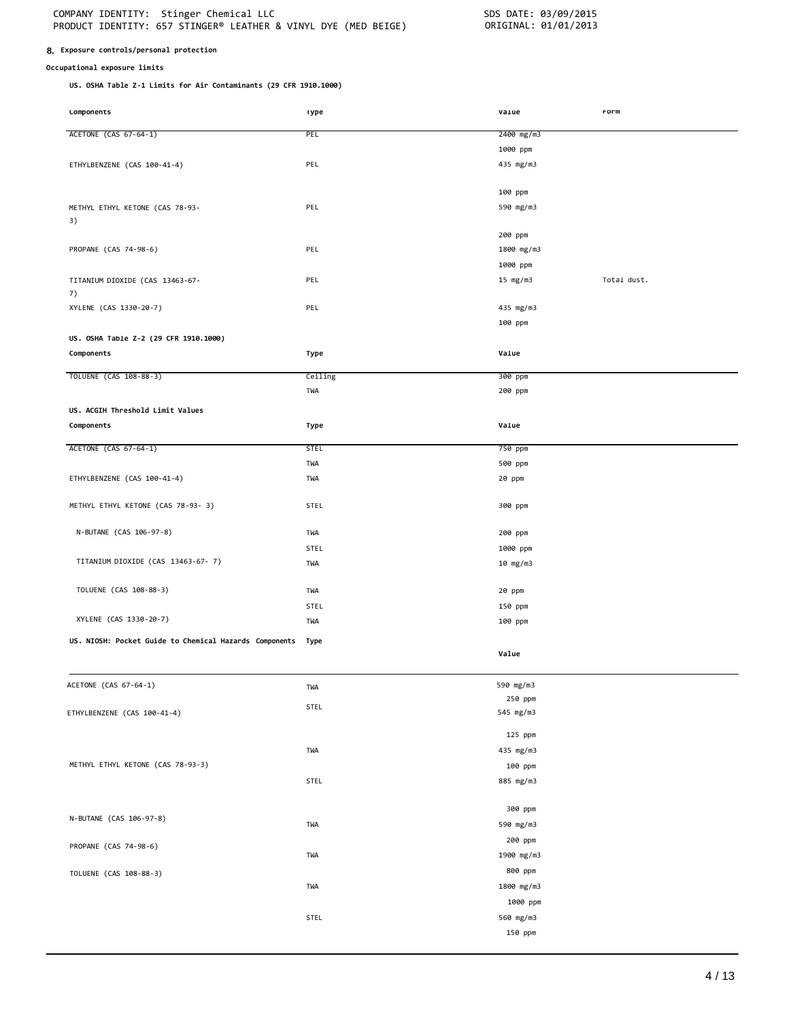### **8. Exposure controls/personal protection**

## **Occupational exposure limits**

**US. OSHA Table Z-1 Limits for Air Contaminants (29 CFR 1910.1000)**

| <b>COMPONENTS</b>                                      | <b>1</b> ype | varue      | rorm        |
|--------------------------------------------------------|--------------|------------|-------------|
| ACETONE (CAS 67-64-1)                                  | PEL          | 2400 mg/m3 |             |
|                                                        |              |            |             |
|                                                        |              | 1000 ppm   |             |
| ETHYLBENZENE (CAS 100-41-4)                            | PEL          | 435 mg/m3  |             |
|                                                        |              |            |             |
|                                                        |              | 100 ppm    |             |
| METHYL ETHYL KETONE (CAS 78-93-                        | PEL          | 590 mg/m3  |             |
| 3)                                                     |              |            |             |
|                                                        |              | 200 ppm    |             |
| PROPANE (CAS 74-98-6)                                  | PEL          | 1800 mg/m3 |             |
|                                                        |              | 1000 ppm   |             |
| TITANIUM DIOXIDE (CAS 13463-67-                        | PEL          | 15 mg/m3   | Total dust. |
| 7)                                                     |              |            |             |
| XYLENE (CAS 1330-20-7)                                 | PEL          | 435 mg/m3  |             |
|                                                        |              | 100 ppm    |             |
| US. OSHA Table Z-2 (29 CFR 1910.1000)                  |              |            |             |
|                                                        |              |            |             |
| Components                                             | Type         | Value      |             |
| TOLUENE (CAS 108-88-3)                                 | Ceiling      | 300 ppm    |             |
|                                                        | TWA          | 200 ppm    |             |
|                                                        |              |            |             |
| US. ACGIH Threshold Limit Values                       |              |            |             |
| Components                                             | Type         | Value      |             |
| ACETONE (CAS 67-64-1)                                  | <b>STEL</b>  | 750 ppm    |             |
|                                                        | TWA          | 500 ppm    |             |
| ETHYLBENZENE (CAS 100-41-4)                            | TWA          | 20 ppm     |             |
|                                                        |              |            |             |
| METHYL ETHYL KETONE (CAS 78-93- 3)                     | <b>STEL</b>  | 300 ppm    |             |
|                                                        |              |            |             |
| N-BUTANE (CAS 106-97-8)                                | TWA          | 200 ppm    |             |
|                                                        | <b>STEL</b>  | 1000 ppm   |             |
| TITANIUM DIOXIDE (CAS 13463-67-7)                      |              |            |             |
|                                                        | TWA          | 10 mg/m3   |             |
| TOLUENE (CAS 108-88-3)                                 | TWA          | 20 ppm     |             |
|                                                        |              |            |             |
| XYLENE (CAS 1330-20-7)                                 | STEL         | 150 ppm    |             |
|                                                        | TWA          | 100 ppm    |             |
| US. NIOSH: Pocket Guide to Chemical Hazards Components | Type         |            |             |
|                                                        |              | Value      |             |
|                                                        |              |            |             |
| ACETONE (CAS 67-64-1)                                  | TWA          | 590 mg/m3  |             |
|                                                        |              | 250 ppm    |             |
| ETHYLBENZENE (CAS 100-41-4)                            | STEL         | 545 mg/m3  |             |
|                                                        |              |            |             |
|                                                        |              | 125 ppm    |             |
|                                                        | TWA          | 435 mg/m3  |             |
| METHYL ETHYL KETONE (CAS 78-93-3)                      |              | 100 ppm    |             |
|                                                        | STEL         | 885 mg/m3  |             |
|                                                        |              |            |             |
|                                                        |              | 300 ppm    |             |
| N-BUTANE (CAS 106-97-8)                                | TWA          | 590 mg/m3  |             |
|                                                        |              | 200 ppm    |             |
| PROPANE (CAS 74-98-6)                                  |              |            |             |
|                                                        | TWA          | 1900 mg/m3 |             |
| TOLUENE (CAS 108-88-3)                                 |              | 800 ppm    |             |
|                                                        | TWA          | 1800 mg/m3 |             |
|                                                        |              | 1000 ppm   |             |
|                                                        | STEL         | 560 mg/m3  |             |
|                                                        |              | 150 ppm    |             |
|                                                        |              |            |             |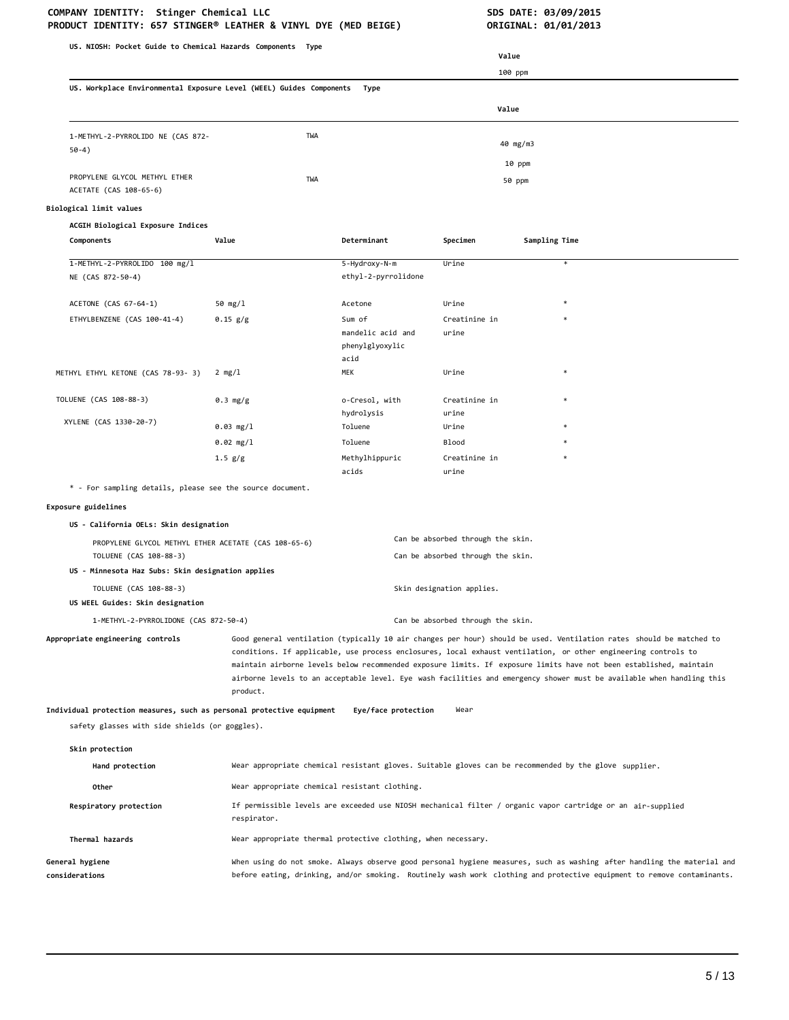# COMPANY IDENTITY: Stinger Chemical LLC **SDS DATE: 03/09/2015**

| US. NIOSH: Pocket Guide to Chemical Hazards Components Type                                                             |                                                                                                                                                                                                                                                                                                                                                                                                                                                                                                  |                                                                                                             | Value                                                                  |                                                                                                       |
|-------------------------------------------------------------------------------------------------------------------------|--------------------------------------------------------------------------------------------------------------------------------------------------------------------------------------------------------------------------------------------------------------------------------------------------------------------------------------------------------------------------------------------------------------------------------------------------------------------------------------------------|-------------------------------------------------------------------------------------------------------------|------------------------------------------------------------------------|-------------------------------------------------------------------------------------------------------|
|                                                                                                                         |                                                                                                                                                                                                                                                                                                                                                                                                                                                                                                  |                                                                                                             |                                                                        | 100 ppm                                                                                               |
| US. Workplace Environmental Exposure Level (WEEL) Guides Components                                                     |                                                                                                                                                                                                                                                                                                                                                                                                                                                                                                  | Type                                                                                                        |                                                                        |                                                                                                       |
|                                                                                                                         |                                                                                                                                                                                                                                                                                                                                                                                                                                                                                                  |                                                                                                             | Value                                                                  |                                                                                                       |
| 1-METHYL-2-PYRROLIDO NE (CAS 872-<br>$50-4)$                                                                            | TWA                                                                                                                                                                                                                                                                                                                                                                                                                                                                                              |                                                                                                             |                                                                        | 40 mg/m3                                                                                              |
|                                                                                                                         |                                                                                                                                                                                                                                                                                                                                                                                                                                                                                                  |                                                                                                             |                                                                        | 10 ppm                                                                                                |
| PROPYLENE GLYCOL METHYL ETHER<br>ACETATE (CAS 108-65-6)                                                                 | TWA                                                                                                                                                                                                                                                                                                                                                                                                                                                                                              |                                                                                                             |                                                                        | 50 ppm                                                                                                |
| Biological limit values                                                                                                 |                                                                                                                                                                                                                                                                                                                                                                                                                                                                                                  |                                                                                                             |                                                                        |                                                                                                       |
| ACGIH Biological Exposure Indices                                                                                       |                                                                                                                                                                                                                                                                                                                                                                                                                                                                                                  |                                                                                                             |                                                                        |                                                                                                       |
| Components                                                                                                              | Value                                                                                                                                                                                                                                                                                                                                                                                                                                                                                            | Determinant                                                                                                 | Specimen                                                               | Sampling Time                                                                                         |
| 1-METHYL-2-PYRROLIDO 100 mg/l                                                                                           |                                                                                                                                                                                                                                                                                                                                                                                                                                                                                                  | 5-Hydroxy-N-m                                                                                               | Urine                                                                  | $\ast$                                                                                                |
| NE (CAS 872-50-4)                                                                                                       |                                                                                                                                                                                                                                                                                                                                                                                                                                                                                                  | ethyl-2-pyrrolidone                                                                                         |                                                                        |                                                                                                       |
| ACETONE (CAS 67-64-1)                                                                                                   | 50 mg/l                                                                                                                                                                                                                                                                                                                                                                                                                                                                                          | Acetone                                                                                                     | Urine                                                                  |                                                                                                       |
| ETHYLBENZENE (CAS 100-41-4)                                                                                             | $0.15$ $g/g$                                                                                                                                                                                                                                                                                                                                                                                                                                                                                     | Sum of                                                                                                      | Creatinine in                                                          |                                                                                                       |
|                                                                                                                         |                                                                                                                                                                                                                                                                                                                                                                                                                                                                                                  | mandelic acid and<br>phenylglyoxylic<br>acid                                                                | urine                                                                  |                                                                                                       |
| METHYL ETHYL KETONE (CAS 78-93- 3)                                                                                      | 2 mg/l                                                                                                                                                                                                                                                                                                                                                                                                                                                                                           | MEK                                                                                                         | Urine                                                                  | $\ast$                                                                                                |
| TOLUENE (CAS 108-88-3)                                                                                                  | 0.3 mg/g                                                                                                                                                                                                                                                                                                                                                                                                                                                                                         | o-Cresol, with<br>hydrolysis                                                                                | Creatinine in<br>urine                                                 | $\ast$                                                                                                |
| XYLENE (CAS 1330-20-7)                                                                                                  | $0.03$ mg/1                                                                                                                                                                                                                                                                                                                                                                                                                                                                                      | Toluene                                                                                                     | Urine                                                                  |                                                                                                       |
|                                                                                                                         | $0.02$ mg/l                                                                                                                                                                                                                                                                                                                                                                                                                                                                                      | Toluene                                                                                                     | <b>Blood</b>                                                           |                                                                                                       |
|                                                                                                                         | 1.5 g/g                                                                                                                                                                                                                                                                                                                                                                                                                                                                                          | Methylhippuric<br>acids                                                                                     | Creatinine in<br>urine                                                 |                                                                                                       |
| * - For sampling details, please see the source document.                                                               |                                                                                                                                                                                                                                                                                                                                                                                                                                                                                                  |                                                                                                             |                                                                        |                                                                                                       |
| Exposure guidelines                                                                                                     |                                                                                                                                                                                                                                                                                                                                                                                                                                                                                                  |                                                                                                             |                                                                        |                                                                                                       |
| US - California OELs: Skin designation                                                                                  |                                                                                                                                                                                                                                                                                                                                                                                                                                                                                                  |                                                                                                             |                                                                        |                                                                                                       |
| PROPYLENE GLYCOL METHYL ETHER ACETATE (CAS 108-65-6)<br>TOLUENE (CAS 108-88-3)                                          |                                                                                                                                                                                                                                                                                                                                                                                                                                                                                                  |                                                                                                             | Can be absorbed through the skin.<br>Can be absorbed through the skin. |                                                                                                       |
| US - Minnesota Haz Subs: Skin designation applies                                                                       |                                                                                                                                                                                                                                                                                                                                                                                                                                                                                                  |                                                                                                             |                                                                        |                                                                                                       |
| TOLUENE (CAS 108-88-3)                                                                                                  |                                                                                                                                                                                                                                                                                                                                                                                                                                                                                                  |                                                                                                             | Skin designation applies.                                              |                                                                                                       |
| US WEEL Guides: Skin designation                                                                                        |                                                                                                                                                                                                                                                                                                                                                                                                                                                                                                  |                                                                                                             |                                                                        |                                                                                                       |
| 1-METHYL-2-PYRROLIDONE (CAS 872-50-4)                                                                                   |                                                                                                                                                                                                                                                                                                                                                                                                                                                                                                  |                                                                                                             | Can be absorbed through the skin.                                      |                                                                                                       |
| Appropriate engineering controls                                                                                        | Good general ventilation (typically 10 air changes per hour) should be used. Ventilation rates should be matched to<br>conditions. If applicable, use process enclosures, local exhaust ventilation, or other engineering controls to<br>maintain airborne levels below recommended exposure limits. If exposure limits have not been established, maintain<br>airborne levels to an acceptable level. Eye wash facilities and emergency shower must be available when handling this<br>product. |                                                                                                             |                                                                        |                                                                                                       |
| Individual protection measures, such as personal protective equipment<br>safety glasses with side shields (or goggles). |                                                                                                                                                                                                                                                                                                                                                                                                                                                                                                  | Eye/face protection                                                                                         | Wear                                                                   |                                                                                                       |
| Skin protection                                                                                                         |                                                                                                                                                                                                                                                                                                                                                                                                                                                                                                  |                                                                                                             |                                                                        |                                                                                                       |
| Hand protection                                                                                                         |                                                                                                                                                                                                                                                                                                                                                                                                                                                                                                  |                                                                                                             |                                                                        | Wear appropriate chemical resistant gloves. Suitable gloves can be recommended by the glove supplier. |
| Other                                                                                                                   | Wear appropriate chemical resistant clothing.                                                                                                                                                                                                                                                                                                                                                                                                                                                    |                                                                                                             |                                                                        |                                                                                                       |
| Respiratory protection                                                                                                  | respirator.                                                                                                                                                                                                                                                                                                                                                                                                                                                                                      | If permissible levels are exceeded use NIOSH mechanical filter / organic vapor cartridge or an air-supplied |                                                                        |                                                                                                       |
| Thermal hazards                                                                                                         |                                                                                                                                                                                                                                                                                                                                                                                                                                                                                                  | Wear appropriate thermal protective clothing, when necessary.                                               |                                                                        |                                                                                                       |
| General hygiene<br>considerations                                                                                       | When using do not smoke. Always observe good personal hygiene measures, such as washing after handling the material and<br>before eating, drinking, and/or smoking. Routinely wash work clothing and protective equipment to remove contaminants.                                                                                                                                                                                                                                                |                                                                                                             |                                                                        |                                                                                                       |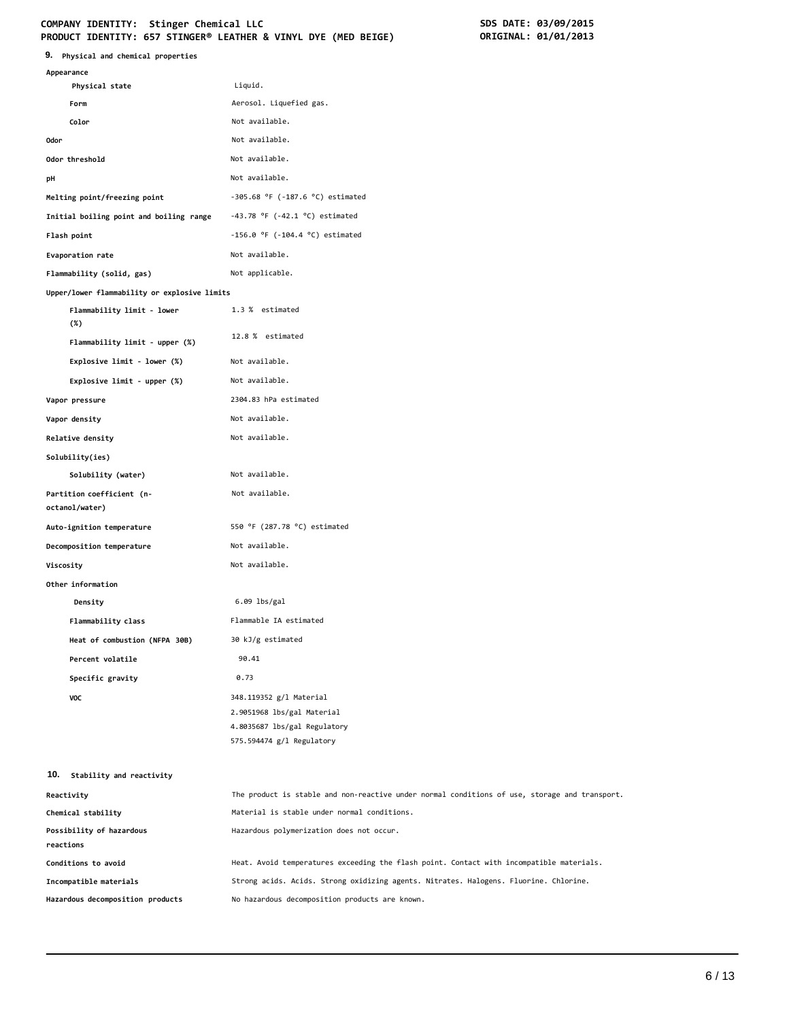# **COMPANY IDENTITY: Stinger Chemical LLC SDS DATE: 03/09/2015**

| COMPANY IDENTITY: Stinger Chemical LLC<br>PRODUCT IDENTITY: 657 STINGER® LEATHER & VINYL DYE (MED BEIGE) |                                                           | SDS DATE: 03/09/2015<br>ORIGINAL: 01/01/2013 |
|----------------------------------------------------------------------------------------------------------|-----------------------------------------------------------|----------------------------------------------|
| 9. Physical and chemical properties                                                                      |                                                           |                                              |
| Appearance                                                                                               |                                                           |                                              |
| Physical state                                                                                           | Liquid.                                                   |                                              |
| Form                                                                                                     | Aerosol. Liquefied gas.                                   |                                              |
| Color                                                                                                    | Not available.                                            |                                              |
| <b>Odor</b>                                                                                              | Not available.                                            |                                              |
| Odor threshold                                                                                           | Not available.                                            |                                              |
| pH                                                                                                       | Not available.                                            |                                              |
| Melting point/freezing point                                                                             | $-305.68$ °F ( $-187.6$ °C) estimated                     |                                              |
| Initial boiling point and boiling range                                                                  | $-43.78$ °F ( $-42.1$ °C) estimated                       |                                              |
| Flash point                                                                                              | $-156.0$ °F (-104.4 °C) estimated                         |                                              |
| Evaporation rate                                                                                         | Not available.                                            |                                              |
| Flammability (solid, gas)                                                                                | Not applicable.                                           |                                              |
| Upper/lower flammability or explosive limits                                                             |                                                           |                                              |
| Flammability limit - lower<br>$(\%)$                                                                     | 1.3 % estimated                                           |                                              |
| Flammability limit - upper (%)                                                                           | 12.8 % estimated                                          |                                              |
| Explosive limit - lower (%)                                                                              | Not available.                                            |                                              |
| Explosive limit - upper (%)                                                                              | Not available.                                            |                                              |
| Vapor pressure                                                                                           | 2304.83 hPa estimated                                     |                                              |
| Vapor density                                                                                            | Not available.                                            |                                              |
| Relative density                                                                                         | Not available.                                            |                                              |
| Solubility(ies)                                                                                          |                                                           |                                              |
| Solubility (water)                                                                                       | Not available.                                            |                                              |
| Partition coefficient (n-                                                                                | Not available.                                            |                                              |
| octanol/water)                                                                                           |                                                           |                                              |
| Auto-ignition temperature                                                                                | 550 °F (287.78 °C) estimated                              |                                              |
| Decomposition temperature                                                                                | Not available.                                            |                                              |
| Viscosity                                                                                                | Not available.                                            |                                              |
| Other information                                                                                        |                                                           |                                              |
| Density                                                                                                  | $6.09$ lbs/gal                                            |                                              |
| Flammability class                                                                                       | Flammable IA estimated                                    |                                              |
| Heat of combustion (NFPA 30B)                                                                            | 30 kJ/g estimated                                         |                                              |
| Percent volatile                                                                                         | 90.41                                                     |                                              |
| Specific gravity                                                                                         | 0.73                                                      |                                              |
| VOC                                                                                                      | 348.119352 g/l Material                                   |                                              |
|                                                                                                          | 2.9051968 lbs/gal Material                                |                                              |
|                                                                                                          | 4.8035687 lbs/gal Regulatory<br>575.594474 g/l Regulatory |                                              |

| 10.<br>Stability and reactivity  |                                                                                               |
|----------------------------------|-----------------------------------------------------------------------------------------------|
| Reactivity                       | The product is stable and non-reactive under normal conditions of use, storage and transport. |
| Chemical stability               | Material is stable under normal conditions.                                                   |
| Possibility of hazardous         | Hazardous polymerization does not occur.                                                      |
| reactions                        |                                                                                               |
| Conditions to avoid              | Heat. Avoid temperatures exceeding the flash point. Contact with incompatible materials.      |
| Incompatible materials           | Strong acids. Acids. Strong oxidizing agents. Nitrates. Halogens. Fluorine. Chlorine.         |
| Hazardous decomposition products | No hazardous decomposition products are known.                                                |
|                                  |                                                                                               |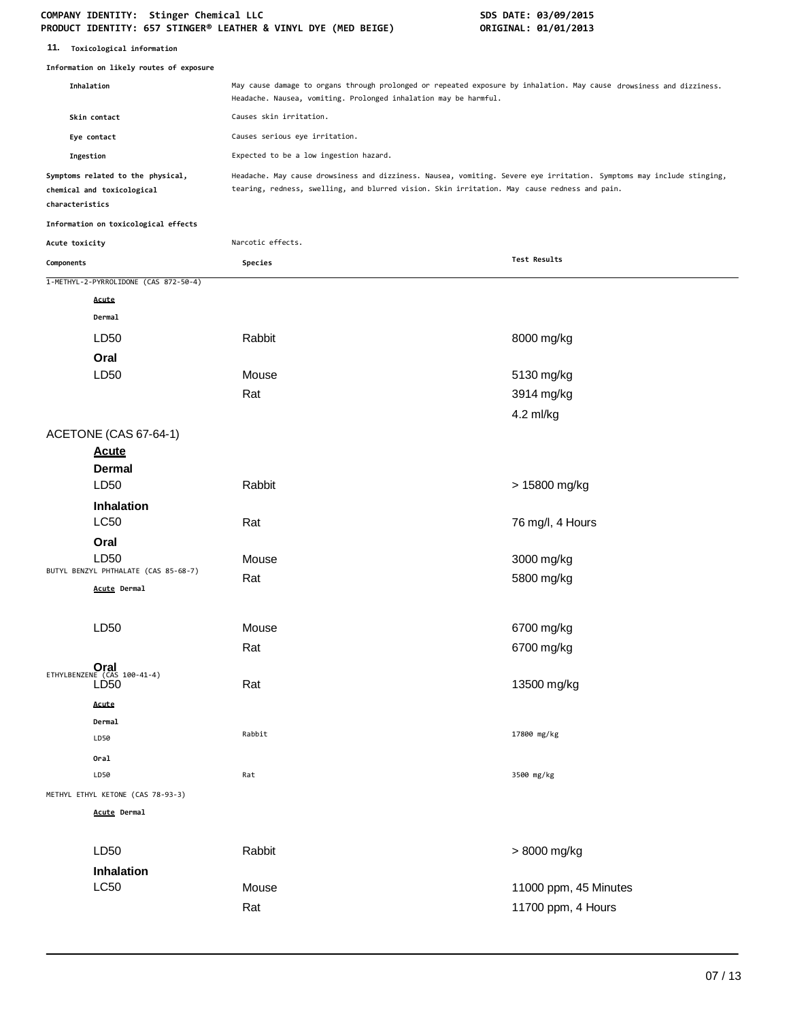**11. Toxicological information**

|                 | Information on likely routes of exposure                        |                                                                                                                                                                                                                       |                       |  |
|-----------------|-----------------------------------------------------------------|-----------------------------------------------------------------------------------------------------------------------------------------------------------------------------------------------------------------------|-----------------------|--|
| Inhalation      |                                                                 | May cause damage to organs through prolonged or repeated exposure by inhalation. May cause drowsiness and dizziness.<br>Headache. Nausea, vomiting. Prolonged inhalation may be harmful.                              |                       |  |
| Skin contact    |                                                                 | Causes skin irritation.                                                                                                                                                                                               |                       |  |
|                 | Eye contact                                                     | Causes serious eye irritation.                                                                                                                                                                                        |                       |  |
| Ingestion       |                                                                 | Expected to be a low ingestion hazard.                                                                                                                                                                                |                       |  |
| characteristics | Symptoms related to the physical,<br>chemical and toxicological | Headache. May cause drowsiness and dizziness. Nausea, vomiting. Severe eye irritation. Symptoms may include stinging,<br>tearing, redness, swelling, and blurred vision. Skin irritation. May cause redness and pain. |                       |  |
|                 | Information on toxicological effects                            |                                                                                                                                                                                                                       |                       |  |
| Acute toxicity  |                                                                 | Narcotic effects.                                                                                                                                                                                                     |                       |  |
| Components      |                                                                 | Species                                                                                                                                                                                                               | Test Results          |  |
|                 | 1-METHYL-2-PYRROLIDONE (CAS 872-50-4)                           |                                                                                                                                                                                                                       |                       |  |
|                 | Acute                                                           |                                                                                                                                                                                                                       |                       |  |
|                 | Dermal                                                          |                                                                                                                                                                                                                       |                       |  |
|                 | LD50                                                            | Rabbit                                                                                                                                                                                                                | 8000 mg/kg            |  |
|                 | Oral                                                            |                                                                                                                                                                                                                       |                       |  |
|                 | LD <sub>50</sub>                                                | Mouse                                                                                                                                                                                                                 | 5130 mg/kg            |  |
|                 |                                                                 | Rat                                                                                                                                                                                                                   | 3914 mg/kg            |  |
|                 |                                                                 |                                                                                                                                                                                                                       | 4.2 ml/kg             |  |
|                 | ACETONE (CAS 67-64-1)                                           |                                                                                                                                                                                                                       |                       |  |
|                 | <b>Acute</b>                                                    |                                                                                                                                                                                                                       |                       |  |
|                 | <b>Dermal</b>                                                   |                                                                                                                                                                                                                       |                       |  |
|                 | LD50                                                            | Rabbit                                                                                                                                                                                                                | > 15800 mg/kg         |  |
|                 | Inhalation<br><b>LC50</b>                                       | Rat                                                                                                                                                                                                                   | 76 mg/l, 4 Hours      |  |
|                 | Oral                                                            |                                                                                                                                                                                                                       |                       |  |
|                 | LD50<br>BUTYL BENZYL PHTHALATE (CAS 85-68-7)                    | Mouse                                                                                                                                                                                                                 | 3000 mg/kg            |  |
|                 | Acute Dermal                                                    | Rat                                                                                                                                                                                                                   | 5800 mg/kg            |  |
|                 | LD <sub>50</sub>                                                | Mouse                                                                                                                                                                                                                 | 6700 mg/kg            |  |
|                 |                                                                 | Rat                                                                                                                                                                                                                   | 6700 mg/kg            |  |
|                 | ETHYLBENZENE $(CAS 100-41-4)$<br>LD <sub>50</sub>               | Rat                                                                                                                                                                                                                   | 13500 mg/kg           |  |
|                 | Acute<br>Dermal<br>LD50                                         | Rabbit                                                                                                                                                                                                                | 17800 mg/kg           |  |
|                 | Oral<br>LD50                                                    | Rat                                                                                                                                                                                                                   | 3500 mg/kg            |  |
|                 | METHYL ETHYL KETONE (CAS 78-93-3)                               |                                                                                                                                                                                                                       |                       |  |
|                 | <b>Acute Dermal</b>                                             |                                                                                                                                                                                                                       |                       |  |
|                 | LD50                                                            | Rabbit                                                                                                                                                                                                                | > 8000 mg/kg          |  |
|                 | Inhalation                                                      |                                                                                                                                                                                                                       |                       |  |
|                 | <b>LC50</b>                                                     | Mouse                                                                                                                                                                                                                 | 11000 ppm, 45 Minutes |  |
|                 |                                                                 | Rat                                                                                                                                                                                                                   | 11700 ppm, 4 Hours    |  |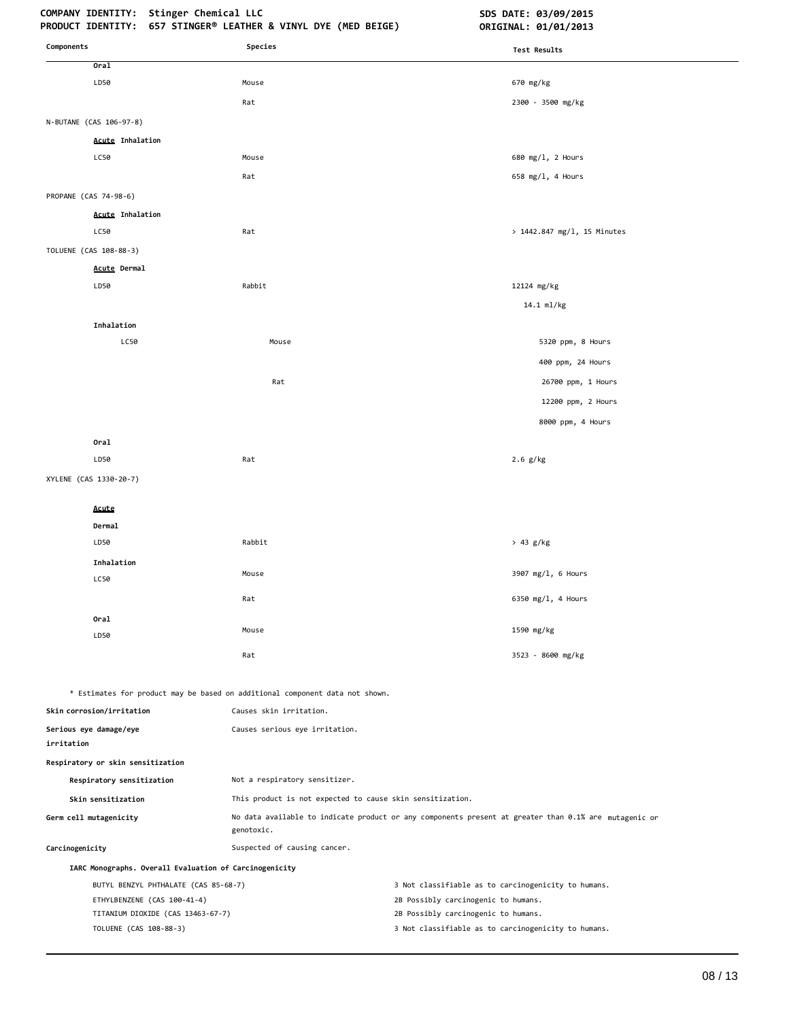| Components                                                       | Species                                                                      | Test Results                                                                                          |
|------------------------------------------------------------------|------------------------------------------------------------------------------|-------------------------------------------------------------------------------------------------------|
| 0ra1                                                             |                                                                              |                                                                                                       |
| LD50                                                             | Mouse                                                                        | 670 mg/kg                                                                                             |
|                                                                  | Rat                                                                          | 2300 - 3500 mg/kg                                                                                     |
| N-BUTANE (CAS 106-97-8)                                          |                                                                              |                                                                                                       |
| <b>Acute Inhalation</b>                                          |                                                                              |                                                                                                       |
| LC50                                                             | Mouse                                                                        | 680 mg/1, 2 Hours                                                                                     |
|                                                                  | Rat                                                                          | 658 mg/l, 4 Hours                                                                                     |
| PROPANE (CAS 74-98-6)                                            |                                                                              |                                                                                                       |
| <b>Acute Inhalation</b>                                          |                                                                              |                                                                                                       |
| LC50                                                             | Rat                                                                          | > 1442.847 mg/l, 15 Minutes                                                                           |
| TOLUENE (CAS 108-88-3)                                           |                                                                              |                                                                                                       |
| <b>Acute Dermal</b>                                              |                                                                              |                                                                                                       |
| LD50                                                             | Rabbit                                                                       | 12124 mg/kg                                                                                           |
|                                                                  |                                                                              | 14.1 ml/kg                                                                                            |
| Inhalation                                                       |                                                                              |                                                                                                       |
| LC50                                                             | Mouse                                                                        | 5320 ppm, 8 Hours                                                                                     |
|                                                                  |                                                                              | 400 ppm, 24 Hours                                                                                     |
|                                                                  | Rat                                                                          | 26700 ppm, 1 Hours                                                                                    |
|                                                                  |                                                                              | 12200 ppm, 2 Hours                                                                                    |
|                                                                  |                                                                              | 8000 ppm, 4 Hours                                                                                     |
| Oral                                                             |                                                                              |                                                                                                       |
| LD50                                                             | Rat                                                                          | $2.6$ g/kg                                                                                            |
| XYLENE (CAS 1330-20-7)                                           |                                                                              |                                                                                                       |
| Acute                                                            |                                                                              |                                                                                                       |
| Dermal                                                           |                                                                              |                                                                                                       |
| LD50                                                             | Rabbit                                                                       | > 43 g/kg                                                                                             |
| Inhalation                                                       |                                                                              |                                                                                                       |
| LC50                                                             | Mouse                                                                        | 3907 mg/l, 6 Hours                                                                                    |
|                                                                  | Rat                                                                          | 6350 mg/l, 4 Hours                                                                                    |
| Oral                                                             |                                                                              |                                                                                                       |
| LD50                                                             | Mouse                                                                        | 1590 mg/kg                                                                                            |
|                                                                  | Rat                                                                          | 3523 - 8600 mg/kg                                                                                     |
|                                                                  |                                                                              |                                                                                                       |
|                                                                  | * Estimates for product may be based on additional component data not shown. |                                                                                                       |
| Skin corrosion/irritation                                        | Causes skin irritation.                                                      |                                                                                                       |
| Serious eye damage/eye<br>irritation                             | Causes serious eye irritation.                                               |                                                                                                       |
| Respiratory or skin sensitization                                |                                                                              |                                                                                                       |
| Respiratory sensitization                                        | Not a respiratory sensitizer.                                                |                                                                                                       |
| Skin sensitization                                               | This product is not expected to cause skin sensitization.                    |                                                                                                       |
| Germ cell mutagenicity                                           | genotoxic.                                                                   | No data available to indicate product or any components present at greater than 0.1% are mutagenic or |
| Carcinogenicity                                                  | Suspected of causing cancer.                                                 |                                                                                                       |
| IARC Monographs. Overall Evaluation of Carcinogenicity           |                                                                              |                                                                                                       |
| BUTYL BENZYL PHTHALATE (CAS 85-68-7)                             |                                                                              | 3 Not classifiable as to carcinogenicity to humans.                                                   |
| ETHYLBENZENE (CAS 100-41-4)<br>TITANIUM DIOXIDE (CAS 13463-67-7) |                                                                              | 2B Possibly carcinogenic to humans.<br>2B Possibly carcinogenic to humans.                            |
|                                                                  |                                                                              | 3 Not classifiable as to carcinogenicity to humans.                                                   |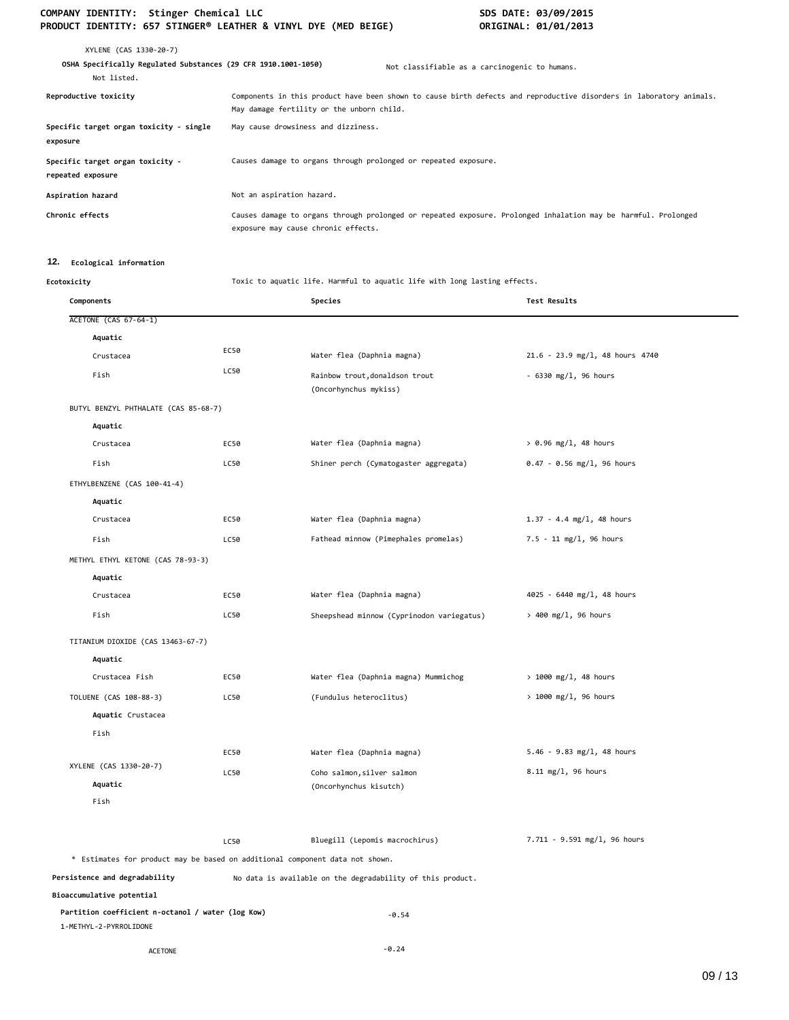| XYLENE (CAS 1330-20-7)<br>OSHA Specifically Regulated Substances (29 CFR 1910.1001-1050)<br>Not listed. | Not classifiable as a carcinogenic to humans.                                                                                                                    |
|---------------------------------------------------------------------------------------------------------|------------------------------------------------------------------------------------------------------------------------------------------------------------------|
| Reproductive toxicity                                                                                   | Components in this product have been shown to cause birth defects and reproductive disorders in laboratory animals.<br>May damage fertility or the unborn child. |
| Specific target organ toxicity - single<br>exposure                                                     | May cause drowsiness and dizziness.                                                                                                                              |
| Specific target organ toxicity -<br>repeated exposure                                                   | Causes damage to organs through prolonged or repeated exposure.                                                                                                  |
| Aspiration hazard                                                                                       | Not an aspiration hazard.                                                                                                                                        |
| Chronic effects                                                                                         | Causes damage to organs through prolonged or repeated exposure. Prolonged inhalation may be harmful. Prolonged<br>exposure may cause chronic effects.            |

# **12. Ecological information**

**Ecotoxicity** Toxic to aquatic life. Harmful to aquatic life with long lasting effects.

| Components                                                                   |      | Species                                                    | Test Results                      |
|------------------------------------------------------------------------------|------|------------------------------------------------------------|-----------------------------------|
| <b>ACETONE (CAS 67-64-1)</b>                                                 |      |                                                            |                                   |
| Aquatic                                                                      |      |                                                            |                                   |
| Crustacea                                                                    | EC50 | Water flea (Daphnia magna)                                 | $21.6 - 23.9$ mg/l, 48 hours 4740 |
| Fish                                                                         | LC50 | Rainbow trout, donaldson trout<br>(Oncorhynchus mykiss)    | $-6330$ mg/l, 96 hours            |
| BUTYL BENZYL PHTHALATE (CAS 85-68-7)                                         |      |                                                            |                                   |
| Aquatic                                                                      |      |                                                            |                                   |
| Crustacea                                                                    | EC50 | Water flea (Daphnia magna)                                 | $> 0.96$ mg/l, 48 hours           |
| Fish                                                                         | LC50 | Shiner perch (Cymatogaster aggregata)                      | $0.47 - 0.56$ mg/l, 96 hours      |
| ETHYLBENZENE (CAS 100-41-4)                                                  |      |                                                            |                                   |
| Aquatic                                                                      |      |                                                            |                                   |
| Crustacea                                                                    | EC50 | Water flea (Daphnia magna)                                 | $1.37 - 4.4$ mg/l, 48 hours       |
| Fish                                                                         | LC50 | Fathead minnow (Pimephales promelas)                       | $7.5 - 11$ mg/l, 96 hours         |
| METHYL ETHYL KETONE (CAS 78-93-3)                                            |      |                                                            |                                   |
| Aquatic                                                                      |      |                                                            |                                   |
| Crustacea                                                                    | EC50 | Water flea (Daphnia magna)                                 | 4025 - 6440 mg/l, 48 hours        |
| Fish                                                                         | LC50 | Sheepshead minnow (Cyprinodon variegatus)                  | > 400 mg/l, 96 hours              |
| TITANIUM DIOXIDE (CAS 13463-67-7)                                            |      |                                                            |                                   |
| Aquatic                                                                      |      |                                                            |                                   |
| Crustacea Fish                                                               | EC50 | Water flea (Daphnia magna) Mummichog                       | $> 1000$ mg/l, 48 hours           |
| TOLUENE (CAS 108-88-3)                                                       | LC50 | (Fundulus heteroclitus)                                    | $> 1000$ mg/l, 96 hours           |
| Aquatic Crustacea                                                            |      |                                                            |                                   |
| Fish                                                                         |      |                                                            |                                   |
|                                                                              | EC50 | Water flea (Daphnia magna)                                 | $5.46 - 9.83$ mg/l, 48 hours      |
| XYLENE (CAS 1330-20-7)                                                       | LC50 | Coho salmon, silver salmon                                 | 8.11 mg/l, 96 hours               |
| Aquatic                                                                      |      | (Oncorhynchus kisutch)                                     |                                   |
| Fish                                                                         |      |                                                            |                                   |
|                                                                              | LC50 | Bluegill (Lepomis macrochirus)                             | 7.711 - 9.591 mg/l, 96 hours      |
| * Estimates for product may be based on additional component data not shown. |      |                                                            |                                   |
| Persistence and degradability                                                |      | No data is available on the degradability of this product. |                                   |
| Bioaccumulative potential                                                    |      |                                                            |                                   |
| Partition coefficient n-octanol / water (log Kow)<br>1-METHYL-2-PYRROLIDONE  |      | $-0.54$                                                    |                                   |
| <b>ACETONE</b>                                                               |      | $-0.24$                                                    |                                   |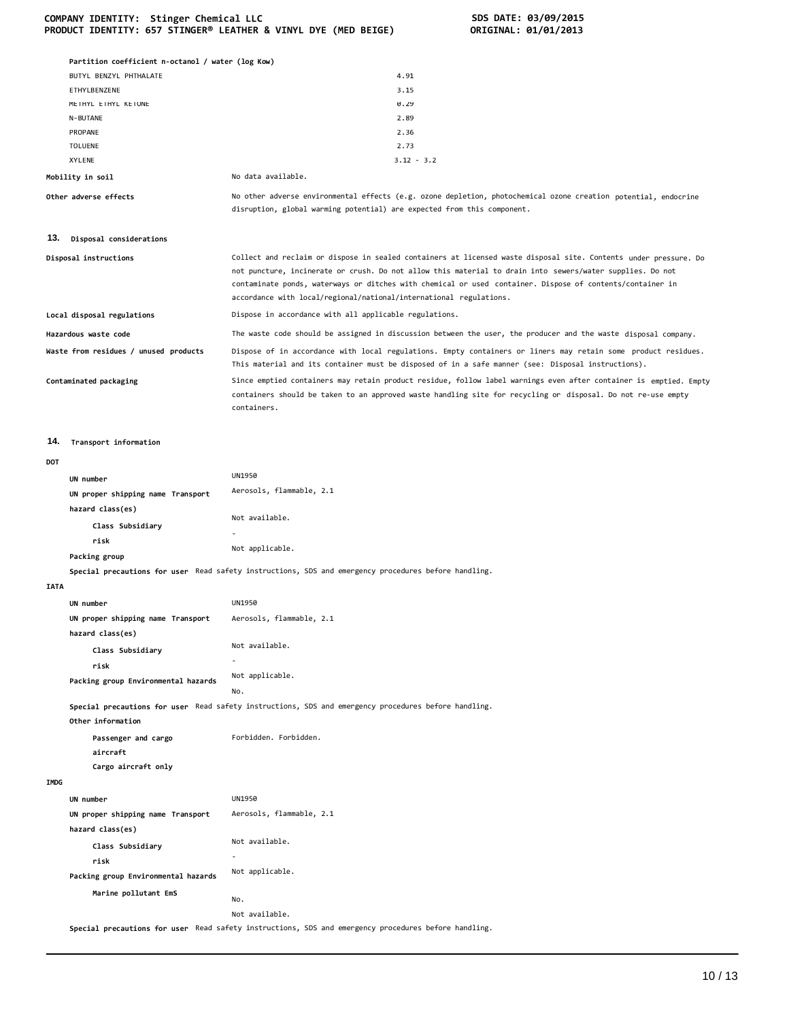|             | Partition coefficient n-octanol / water (log Kow)     |                                                                                                                                                                                                                                                                                                                                                                                                                  |
|-------------|-------------------------------------------------------|------------------------------------------------------------------------------------------------------------------------------------------------------------------------------------------------------------------------------------------------------------------------------------------------------------------------------------------------------------------------------------------------------------------|
|             | BUTYL BENZYL PHTHALATE                                | 4.91                                                                                                                                                                                                                                                                                                                                                                                                             |
|             | ETHYLBENZENE                                          | 3.15                                                                                                                                                                                                                                                                                                                                                                                                             |
|             | METHYL ETHYL KETONE                                   | 0.29                                                                                                                                                                                                                                                                                                                                                                                                             |
|             | N-BUTANE                                              | 2.89                                                                                                                                                                                                                                                                                                                                                                                                             |
|             | PROPANE                                               | 2.36                                                                                                                                                                                                                                                                                                                                                                                                             |
|             | TOLUENE                                               | 2.73                                                                                                                                                                                                                                                                                                                                                                                                             |
|             | XYLENE                                                | $3.12 - 3.2$                                                                                                                                                                                                                                                                                                                                                                                                     |
|             | Mobility in soil                                      | No data available.                                                                                                                                                                                                                                                                                                                                                                                               |
|             | Other adverse effects                                 | No other adverse environmental effects (e.g. ozone depletion, photochemical ozone creation potential, endocrine<br>disruption, global warming potential) are expected from this component.                                                                                                                                                                                                                       |
| 13.         | Disposal considerations                               |                                                                                                                                                                                                                                                                                                                                                                                                                  |
|             | Disposal instructions                                 | Collect and reclaim or dispose in sealed containers at licensed waste disposal site. Contents under pressure. Do<br>not puncture, incinerate or crush. Do not allow this material to drain into sewers/water supplies. Do not<br>contaminate ponds, waterways or ditches with chemical or used container. Dispose of contents/container in<br>accordance with local/regional/national/international regulations. |
|             | Local disposal regulations                            | Dispose in accordance with all applicable regulations.                                                                                                                                                                                                                                                                                                                                                           |
|             | Hazardous waste code                                  | The waste code should be assigned in discussion between the user, the producer and the waste disposal company.                                                                                                                                                                                                                                                                                                   |
|             | Waste from residues / unused products                 | Dispose of in accordance with local regulations. Empty containers or liners may retain some product residues.<br>This material and its container must be disposed of in a safe manner (see: Disposal instructions).                                                                                                                                                                                              |
|             | Contaminated packaging                                | Since emptied containers may retain product residue, follow label warnings even after container is emptied. Empty<br>containers should be taken to an approved waste handling site for recycling or disposal. Do not re-use empty<br>containers.                                                                                                                                                                 |
| 14.         | Transport information                                 |                                                                                                                                                                                                                                                                                                                                                                                                                  |
| <b>DOT</b>  |                                                       |                                                                                                                                                                                                                                                                                                                                                                                                                  |
|             | UN number                                             | <b>UN1950</b>                                                                                                                                                                                                                                                                                                                                                                                                    |
|             | UN proper shipping name Transport                     | Aerosols, flammable, 2.1                                                                                                                                                                                                                                                                                                                                                                                         |
|             | hazard class(es)                                      |                                                                                                                                                                                                                                                                                                                                                                                                                  |
|             | Class Subsidiary                                      | Not available.                                                                                                                                                                                                                                                                                                                                                                                                   |
|             | risk                                                  |                                                                                                                                                                                                                                                                                                                                                                                                                  |
|             | Packing group                                         | Not applicable.                                                                                                                                                                                                                                                                                                                                                                                                  |
|             |                                                       | Special precautions for user Read safety instructions, SDS and emergency procedures before handling.                                                                                                                                                                                                                                                                                                             |
| <b>IATA</b> |                                                       |                                                                                                                                                                                                                                                                                                                                                                                                                  |
|             | UN number                                             | <b>UN1950</b>                                                                                                                                                                                                                                                                                                                                                                                                    |
|             | UN proper shipping name Transport                     | Aerosols, flammable, 2.1                                                                                                                                                                                                                                                                                                                                                                                         |
|             | hazard class(es)                                      |                                                                                                                                                                                                                                                                                                                                                                                                                  |
|             | Class Subsidiary                                      | Not available.                                                                                                                                                                                                                                                                                                                                                                                                   |
|             | risk                                                  |                                                                                                                                                                                                                                                                                                                                                                                                                  |
|             | Packing group Environmental hazards                   | Not applicable.                                                                                                                                                                                                                                                                                                                                                                                                  |
|             |                                                       | No.                                                                                                                                                                                                                                                                                                                                                                                                              |
|             | Other information                                     | Special precautions for user Read safety instructions, SDS and emergency procedures before handling.                                                                                                                                                                                                                                                                                                             |
|             | Passenger and cargo<br>aircraft                       | Forbidden. Forbidden.                                                                                                                                                                                                                                                                                                                                                                                            |
|             | Cargo aircraft only                                   |                                                                                                                                                                                                                                                                                                                                                                                                                  |
| <b>IMDG</b> |                                                       |                                                                                                                                                                                                                                                                                                                                                                                                                  |
|             | UN number                                             | <b>UN1950</b>                                                                                                                                                                                                                                                                                                                                                                                                    |
|             | UN proper shipping name Transport<br>hazard class(es) | Aerosols, flammable, 2.1                                                                                                                                                                                                                                                                                                                                                                                         |
|             | Class Subsidiary                                      | Not available.                                                                                                                                                                                                                                                                                                                                                                                                   |
|             | risk                                                  |                                                                                                                                                                                                                                                                                                                                                                                                                  |
|             | Packing group Environmental hazards                   | Not applicable.                                                                                                                                                                                                                                                                                                                                                                                                  |
|             | Marine pollutant EmS                                  |                                                                                                                                                                                                                                                                                                                                                                                                                  |
|             |                                                       | No.                                                                                                                                                                                                                                                                                                                                                                                                              |
|             |                                                       | Not available.<br>Special precautions for user Read safety instructions, SDS and emergency procedures before handling.                                                                                                                                                                                                                                                                                           |
|             |                                                       |                                                                                                                                                                                                                                                                                                                                                                                                                  |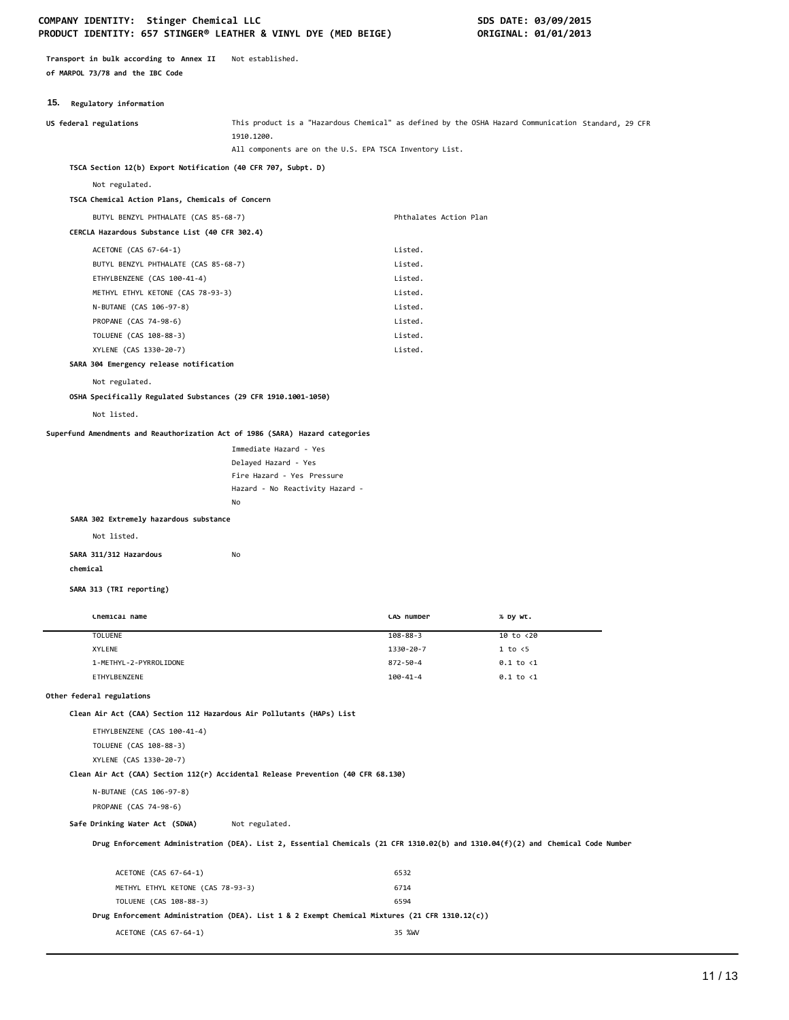**Transport in bulk according to Annex II** Not established. **of MARPOL 73/78 and the IBC Code**

## **15. Regulatory information**

| <b>10:</b> Regulatory Information                                                |                                                                                                                                  |                        |                                                                                                     |
|----------------------------------------------------------------------------------|----------------------------------------------------------------------------------------------------------------------------------|------------------------|-----------------------------------------------------------------------------------------------------|
| US federal regulations                                                           | 1910.1200.                                                                                                                       |                        | This product is a "Hazardous Chemical" as defined by the OSHA Hazard Communication Standard, 29 CFR |
|                                                                                  | All components are on the U.S. EPA TSCA Inventory List.                                                                          |                        |                                                                                                     |
| TSCA Section 12(b) Export Notification (40 CFR 707, Subpt. D)                    |                                                                                                                                  |                        |                                                                                                     |
| Not regulated.                                                                   |                                                                                                                                  |                        |                                                                                                     |
| TSCA Chemical Action Plans, Chemicals of Concern                                 |                                                                                                                                  |                        |                                                                                                     |
| BUTYL BENZYL PHTHALATE (CAS 85-68-7)                                             |                                                                                                                                  | Phthalates Action Plan |                                                                                                     |
| CERCLA Hazardous Substance List (40 CFR 302.4)                                   |                                                                                                                                  |                        |                                                                                                     |
| ACETONE (CAS 67-64-1)                                                            |                                                                                                                                  | Listed.                |                                                                                                     |
| BUTYL BENZYL PHTHALATE (CAS 85-68-7)                                             |                                                                                                                                  | Listed.                |                                                                                                     |
| ETHYLBENZENE (CAS 100-41-4)                                                      |                                                                                                                                  | Listed.                |                                                                                                     |
| METHYL ETHYL KETONE (CAS 78-93-3)                                                |                                                                                                                                  | Listed.                |                                                                                                     |
| N-BUTANE (CAS 106-97-8)                                                          |                                                                                                                                  | Listed.                |                                                                                                     |
| PROPANE (CAS 74-98-6)                                                            |                                                                                                                                  | Listed.                |                                                                                                     |
| TOLUENE (CAS 108-88-3)                                                           |                                                                                                                                  | Listed.                |                                                                                                     |
| XYLENE (CAS 1330-20-7)                                                           |                                                                                                                                  | Listed.                |                                                                                                     |
| SARA 304 Emergency release notification                                          |                                                                                                                                  |                        |                                                                                                     |
| Not regulated.                                                                   |                                                                                                                                  |                        |                                                                                                     |
| OSHA Specifically Regulated Substances (29 CFR 1910.1001-1050)                   |                                                                                                                                  |                        |                                                                                                     |
| Not listed.                                                                      |                                                                                                                                  |                        |                                                                                                     |
| Superfund Amendments and Reauthorization Act of 1986 (SARA) Hazard categories    |                                                                                                                                  |                        |                                                                                                     |
|                                                                                  | Immediate Hazard - Yes                                                                                                           |                        |                                                                                                     |
|                                                                                  | Delayed Hazard - Yes                                                                                                             |                        |                                                                                                     |
|                                                                                  | Fire Hazard - Yes Pressure                                                                                                       |                        |                                                                                                     |
|                                                                                  | Hazard - No Reactivity Hazard -                                                                                                  |                        |                                                                                                     |
|                                                                                  | No                                                                                                                               |                        |                                                                                                     |
| SARA 302 Extremely hazardous substance                                           |                                                                                                                                  |                        |                                                                                                     |
| Not listed.                                                                      |                                                                                                                                  |                        |                                                                                                     |
| SARA 311/312 Hazardous                                                           | No                                                                                                                               |                        |                                                                                                     |
| chemical                                                                         |                                                                                                                                  |                        |                                                                                                     |
| SARA 313 (TRI reporting)                                                         |                                                                                                                                  |                        |                                                                                                     |
|                                                                                  |                                                                                                                                  |                        |                                                                                                     |
| Chemical name                                                                    |                                                                                                                                  | CAS number             | % by wt.                                                                                            |
| <b>TOLUENE</b>                                                                   |                                                                                                                                  | $108 - 88 - 3$         | 10 to <20                                                                                           |
| XYLENE                                                                           |                                                                                                                                  | 1330-20-7              | 1 to < 5                                                                                            |
| 1-METHYL-2-PYRROLIDONE                                                           |                                                                                                                                  | 872-50-4               | $0.1$ to $\langle 1$                                                                                |
| ETHYLBENZENE                                                                     |                                                                                                                                  | $100 - 41 - 4$         | $0.1$ to $\langle 1$                                                                                |
| Other federal regulations                                                        |                                                                                                                                  |                        |                                                                                                     |
| Clean Air Act (CAA) Section 112 Hazardous Air Pollutants (HAPs) List             |                                                                                                                                  |                        |                                                                                                     |
| ETHYLBENZENE (CAS 100-41-4)                                                      |                                                                                                                                  |                        |                                                                                                     |
| TOLUENE (CAS 108-88-3)                                                           |                                                                                                                                  |                        |                                                                                                     |
| XYLENE (CAS 1330-20-7)                                                           |                                                                                                                                  |                        |                                                                                                     |
| Clean Air Act (CAA) Section 112(r) Accidental Release Prevention (40 CFR 68.130) |                                                                                                                                  |                        |                                                                                                     |
| N-BUTANE (CAS 106-97-8)                                                          |                                                                                                                                  |                        |                                                                                                     |
| PROPANE (CAS 74-98-6)                                                            |                                                                                                                                  |                        |                                                                                                     |
| Safe Drinking Water Act (SDWA)                                                   | Not regulated.                                                                                                                   |                        |                                                                                                     |
|                                                                                  | Drug Enforcement Administration (DEA). List 2, Essential Chemicals (21 CFR 1310.02(b) and 1310.04(f)(2) and Chemical Code Number |                        |                                                                                                     |
|                                                                                  |                                                                                                                                  |                        |                                                                                                     |
| ACETONE (CAS 67-64-1)                                                            |                                                                                                                                  | 6532                   |                                                                                                     |

METHYL ETHYL KETONE (CAS 78-93-3) 6714 TOLUENE (CAS 108-88-3) 6594

ACETONE (CAS 67-64-1) 35 %WV

**Drug Enforcement Administration (DEA). List 1 & 2 Exempt Chemical Mixtures (21 CFR 1310.12(c))**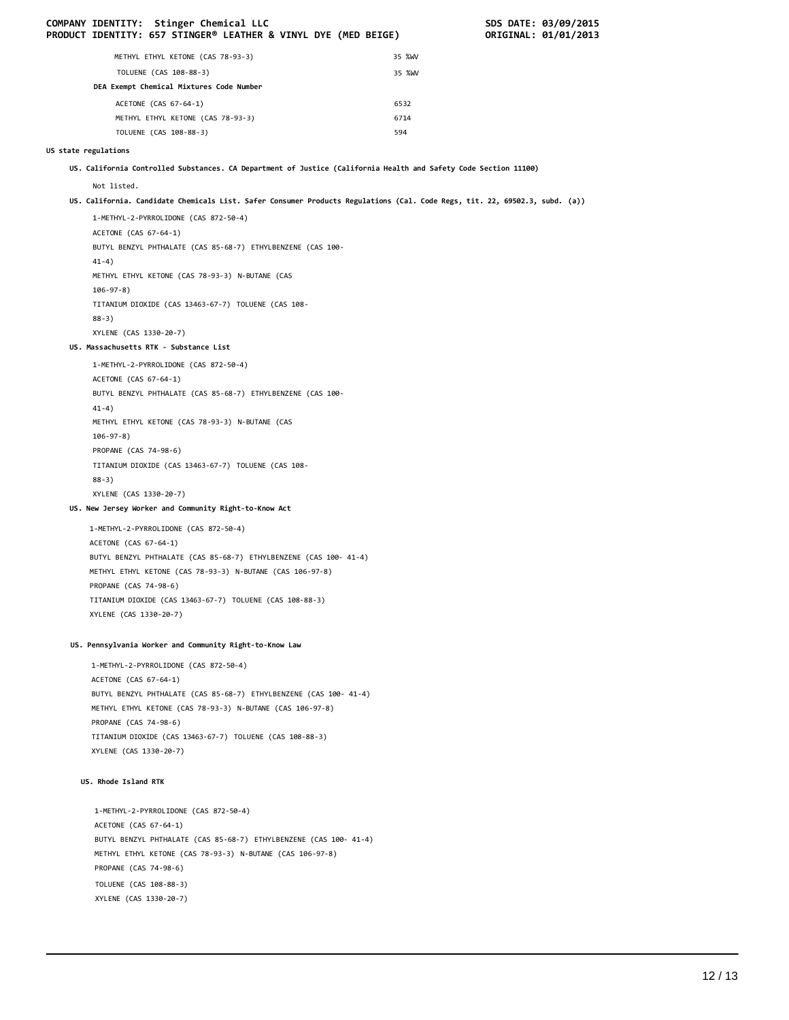|                      | COMPANY IDENTITY: Stinger Chemical LLC<br>PRODUCT IDENTITY: 657 STINGER® LEATHER & VINYL DYE (MED BEIGE)                    |        | SDS DATE: 03/09/2015<br>ORIGINAL: 01/01/2013 |
|----------------------|-----------------------------------------------------------------------------------------------------------------------------|--------|----------------------------------------------|
|                      | METHYL ETHYL KETONE (CAS 78-93-3)                                                                                           | 35 %WV |                                              |
|                      | TOLUENE (CAS 108-88-3)                                                                                                      | 35 %WV |                                              |
|                      | DEA Exempt Chemical Mixtures Code Number                                                                                    |        |                                              |
|                      | ACETONE (CAS 67-64-1)                                                                                                       | 6532   |                                              |
|                      | METHYL ETHYL KETONE (CAS 78-93-3)                                                                                           | 6714   |                                              |
|                      | TOLUENE (CAS 108-88-3)                                                                                                      | 594    |                                              |
| US state regulations |                                                                                                                             |        |                                              |
|                      | US. California Controlled Substances. CA Department of Justice (California Health and Safety Code Section 11100)            |        |                                              |
|                      | Not listed.                                                                                                                 |        |                                              |
|                      | US. California. Candidate Chemicals List. Safer Consumer Products Regulations (Cal. Code Regs, tit. 22, 69502.3, subd. (a)) |        |                                              |
|                      | 1-METHYL-2-PYRROLIDONE (CAS 872-50-4)<br>ACETONE (CAS 67-64-1)                                                              |        |                                              |
|                      | BUTYL BENZYL PHTHALATE (CAS 85-68-7) ETHYLBENZENE (CAS 100-<br>$41-4)$                                                      |        |                                              |
|                      | METHYL ETHYL KETONE (CAS 78-93-3) N-BUTANE (CAS<br>$106 - 97 - 8$ )                                                         |        |                                              |
|                      | TITANIUM DIOXIDE (CAS 13463-67-7) TOLUENE (CAS 108-<br>$88-3)$                                                              |        |                                              |
|                      | XYLENE (CAS 1330-20-7)                                                                                                      |        |                                              |
|                      | US. Massachusetts RTK - Substance List                                                                                      |        |                                              |
|                      | 1-METHYL-2-PYRROLIDONE (CAS 872-50-4)                                                                                       |        |                                              |
|                      | ACETONE (CAS 67-64-1)                                                                                                       |        |                                              |
|                      | BUTYL BENZYL PHTHALATE (CAS 85-68-7) ETHYLBENZENE (CAS 100-                                                                 |        |                                              |
|                      | $41-4)$                                                                                                                     |        |                                              |
|                      | METHYL ETHYL KETONE (CAS 78-93-3) N-BUTANE (CAS                                                                             |        |                                              |
|                      | $106 - 97 - 8$ )                                                                                                            |        |                                              |
|                      | PROPANE (CAS 74-98-6)                                                                                                       |        |                                              |
|                      | TITANIUM DIOXIDE (CAS 13463-67-7) TOLUENE (CAS 108-<br>$88-3)$                                                              |        |                                              |
|                      | XYLENE (CAS 1330-20-7)                                                                                                      |        |                                              |
|                      | US. New Jersey Worker and Community Right-to-Know Act                                                                       |        |                                              |
|                      | 1-METHYL-2-PYRROLIDONE (CAS 872-50-4)                                                                                       |        |                                              |
|                      | ACETONE (CAS 67-64-1)                                                                                                       |        |                                              |
|                      | BUTYL BENZYL PHTHALATE (CAS 85-68-7) ETHYLBENZENE (CAS 100- 41-4)                                                           |        |                                              |
|                      | METHYL ETHYL KETONE (CAS 78-93-3) N-BUTANE (CAS 106-97-8)                                                                   |        |                                              |
|                      | PROPANE (CAS 74-98-6)                                                                                                       |        |                                              |
|                      | TITANIUM DIOXIDE (CAS 13463-67-7) TOLUENE (CAS 108-88-3)                                                                    |        |                                              |
|                      | XYLENE (CAS 1330-20-7)                                                                                                      |        |                                              |
|                      | US. Pennsylvania Worker and Community Right-to-Know Law                                                                     |        |                                              |
|                      | 1-METHYL-2-PYRROLIDONE (CAS 872-50-4)                                                                                       |        |                                              |
|                      | ACETONE (CAS 67-64-1)                                                                                                       |        |                                              |
|                      | BUTYL BENZYL PHTHALATE (CAS 85-68-7) ETHYLBENZENE (CAS 100- 41-4)                                                           |        |                                              |
|                      | METHYL ETHYL KETONE (CAS 78-93-3) N-BUTANE (CAS 106-97-8)                                                                   |        |                                              |
|                      | PROPANE (CAS 74-98-6)<br>TITANIUM DIOXIDE (CAS 13463-67-7) TOLUENE (CAS 108-88-3)                                           |        |                                              |
|                      | XYLENE (CAS 1330-20-7)                                                                                                      |        |                                              |
|                      |                                                                                                                             |        |                                              |
|                      | US. Rhode Island RTK                                                                                                        |        |                                              |
|                      | 1-METHYL-2-PYRROLIDONE (CAS 872-50-4)                                                                                       |        |                                              |
|                      | ACETONE (CAS 67-64-1)                                                                                                       |        |                                              |
|                      | BUTYL BENZYL PHTHALATE (CAS 85-68-7) ETHYLBENZENE (CAS 100- 41-4)                                                           |        |                                              |
|                      | METHYL ETHYL KETONE (CAS 78-93-3) N-BUTANE (CAS 106-97-8)<br>PROPANE (CAS 74-98-6)                                          |        |                                              |
|                      | TOLUENE (CAS 108-88-3)                                                                                                      |        |                                              |
|                      | XYLENE (CAS 1330-20-7)                                                                                                      |        |                                              |